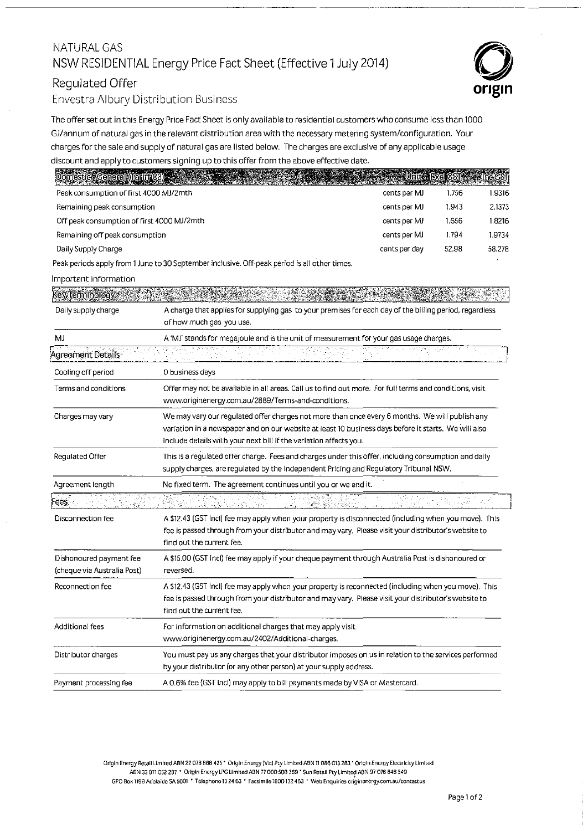# NATURAL GAS NSW RESIDENTIAL Energy Price Fact Sheet (Effective 1 July 2014)





Envestra Albury Distribution Business

The offer set out in this Energy Price Fact Sheet is only available to residential customers who consume less than 1000 GJ/annum of natural gas in the relevant distribution area with the necessary metering system/configuration. Your charges for the sale and supply of natural gas are listed below. The charges are exclusive of any applicable usage discount and apply to customers signing up to this offer from the above effective date.

-----····---··--·---

| Domestic-General (liartifros)<br>A DAN I CIAN BAGA 174 MB |               |       |        |
|-----------------------------------------------------------|---------------|-------|--------|
| Peak consumption of first 4000 MJ/2mth                    | cents per MJ  | 1.756 | 1.9316 |
| Remaining peak consumption                                | cents per MJ  | 1.943 | 2.1373 |
| Off peak consumption of first 4000 MJ/2mth                | cents per MJ  | 1.656 | 1.8216 |
| Remaining off peak consumption                            | cents per MJ  | 1.794 | 1.9734 |
| Daily Supply Charge                                       | cents per day | 52.98 | 58.278 |
|                                                           |               |       |        |

Peak periods apply from 1 June to 30 September inclusive. Off-peak period is all other times.

#### Important. information

| Key/Terminology                                        |                                                                                                                                                                                                                                                                             |  |
|--------------------------------------------------------|-----------------------------------------------------------------------------------------------------------------------------------------------------------------------------------------------------------------------------------------------------------------------------|--|
| Daily supply charge                                    | A charge that applies for supplying gas to your premises for each day of the billing period, regardless<br>of how much gas you use.                                                                                                                                         |  |
| MJ                                                     | A 'MJ' stands for megajoule and is the unit of measurement for your gas usage charges.                                                                                                                                                                                      |  |
| Agreement Details-                                     |                                                                                                                                                                                                                                                                             |  |
| Cooling off period                                     | 0 business days                                                                                                                                                                                                                                                             |  |
| Terms and conditions                                   | Offer may not be available in all areas. Call us to find out more. For full terms and conditions, visit<br>www.originenergy.com.au/2889/Terms-and-conditions.                                                                                                               |  |
| Charges may vary                                       | We may vary our regulated offer charges not more than once every 6 months. We will publish any<br>variation in a newspaper and on our website at least 10 business days before it starts. We will also<br>include details with your next bill if the variation affects you. |  |
| Regulated Offer                                        | This is a regulated offer charge. Fees and charges under this offer, including consumption and daily<br>supply charges, are regulated by the Independent Pricing and Regulatory Tribunal NSW.                                                                               |  |
| Agreement length                                       | No fixed term. The agreement continues until you or we end it.                                                                                                                                                                                                              |  |
| Fees:                                                  |                                                                                                                                                                                                                                                                             |  |
| Disconnection fee                                      | A \$12.43 (GST Incl) fee may apply when your property is disconnected (including when you move). This<br>fee is passed through from your distributor and may vary. Please visit your distributor's website to<br>find out the current fee.                                  |  |
| Dishonoured payment fee<br>(cheque via Australia Post) | A \$15.00 (GST Incl) fee may apply if your cheque payment through Australia Post is dishonoured or<br>reversed.                                                                                                                                                             |  |
| Reconnection fee                                       | A \$12.43 (GST Incl) fee may apply when your property is reconnected (including when you move). This<br>fee is passed through from your distributor and may vary. Please visit your distributor's website to<br>find out the current fee.                                   |  |
| Additional fees                                        | For information on additional charges that may apply visit<br>www.originenergy.com.au/2402/Additional-charges.                                                                                                                                                              |  |
| Distributor charges                                    | You must pay us any charges that your distributor imposes on us in relation to the services performed<br>by your distributor (or any other person) at your supply address.                                                                                                  |  |
| Payment processing fee                                 | A 0.6% fee (GST Incl) may apply to bill payments made by VISA or Mastercard.                                                                                                                                                                                                |  |

Origin Energy Retail Limited ABN 22 078 868 425 • Origin Energy (Vic) Pty Limited ABN 11 086 013 283 •Origin Energy Electricity Limited ABN 33 071 052 287 • Origin Energy LPG Limited ABN 77 000 508 369 \* Sun Retail Pty Limited ABN 97 078 848 549 GPO Box 1199 Adelaide SA 5001 • Telephone 13 24 63 • Facsimile 1800132 463 • Web Enquiries originenergy.com.au/contactus